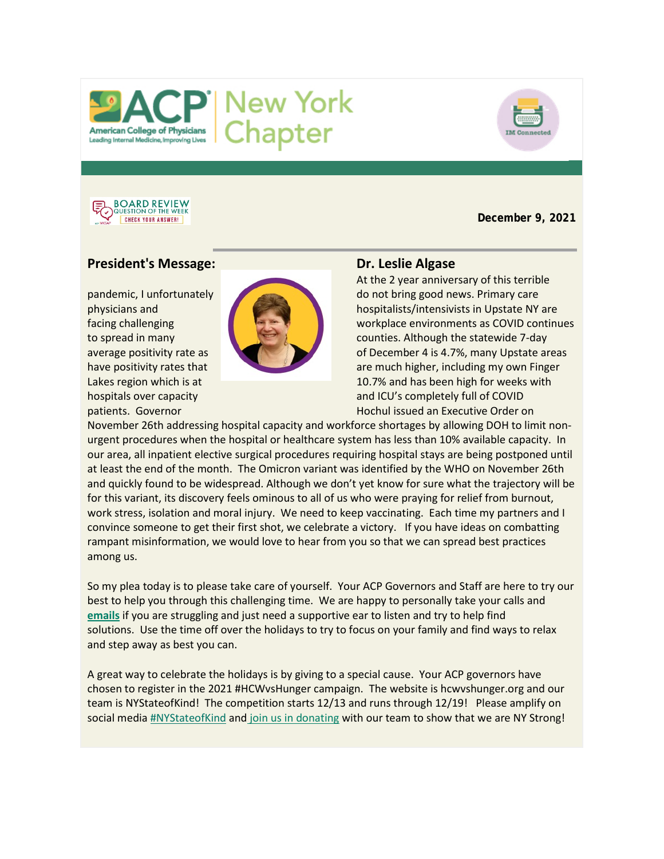





**December 9, 2021**

# **President's Message:** Dr. Leslie Algase



At the 2 year anniversary of this terrible pandemic, I unfortunately do not bring good news. Primary care physicians and **hospitalists/intensivists in Upstate NY are** facing challenging workplace environments as COVID continues to spread in many counties. Although the statewide 7-day average positivity rate as **of December 4 is 4.7%, many Upstate areas** have positivity rates that are much higher, including my own Finger Lakes region which is at 10.7% and has been high for weeks with hospitals over capacity and ICU's completely full of COVID patients. Governor **Hochul issued an Executive Order on** Hochul issued an Executive Order on

November 26th addressing hospital capacity and workforce shortages by allowing DOH to limit nonurgent procedures when the hospital or healthcare system has less than 10% available capacity. In our area, all inpatient elective surgical procedures requiring hospital stays are being postponed until at least the end of the month. The Omicron variant was identified by the WHO on November 26th and quickly found to be widespread. Although we don't yet know for sure what the trajectory will be for this variant, its discovery feels ominous to all of us who were praying for relief from burnout, work stress, isolation and moral injury. We need to keep vaccinating. Each time my partners and I convince someone to get their first shot, we celebrate a victory. If you have ideas on combatting rampant misinformation, we would love to hear from you so that we can spread best practices among us.

So my plea today is to please take care of yourself. Your ACP Governors and Staff are here to try our best to help you through this challenging time. We are happy to personally take your calls and **[emails](mailto:Governors@nyacp.org)** if you are struggling and just need a supportive ear to listen and try to help find solutions. Use the time off over the holidays to try to focus on your family and find ways to relax and step away as best you can.

A great way to celebrate the holidays is by giving to a special cause. Your ACP governors have chosen to register in the 2021 #HCWvsHunger campaign. The website is hcwvshunger.org and our team is NYStateofKind! The competition starts 12/13 and runs through 12/19! Please amplify on social medi[a #NYStateofKind](https://hcwvshunger.org/how-to-donate/) and [join us in donating](https://hcwvshunger.org/how-to-donate/) with our team to show that we are NY Strong!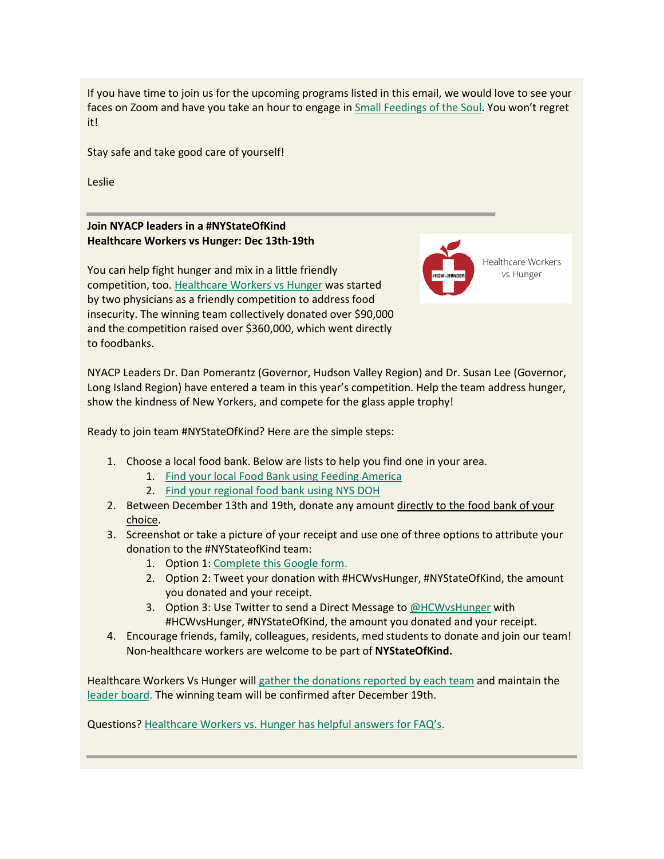If you have time to join us for the upcoming programs listed in this email, we would love to see your faces on Zoom and have you take an hour to engage in [Small Feedings of the Soul.](https://us02web.zoom.us/meeting/register/tZUsf-Cvqz8vG933xvZqDozdnH0yfDzFbmGP) You won't regret it!

Stay safe and take good care of yourself!

Leslie

**Join NYACP leaders in a #NYStateOfKind Healthcare Workers vs Hunger: Dec 13th-19th**

You can help fight hunger and mix in a little friendly competition, too. [Healthcare Workers vs Hunger](https://hcwvshunger.org/about-us/) was started by two physicians as a friendly competition to address food insecurity. The winning team collectively donated over \$90,000 and the competition raised over \$360,000, which went directly to foodbanks.

Healthcare Workers vs Hunger

NYACP Leaders Dr. Dan Pomerantz (Governor, Hudson Valley Region) and Dr. Susan Lee (Governor, Long Island Region) have entered a team in this year's competition. Help the team address hunger, show the kindness of New Yorkers, and compete for the glass apple trophy!

Ready to join team #NYStateOfKind? Here are the simple steps:

- 1. Choose a local food bank. Below are lists to help you find one in your area.
	- 1. [Find your local Food Bank using Feeding America](https://www.feedingamerica.org/find-your-local-foodbank)
	- 2. [Find your regional food bank using NYS DOH](https://www.health.ny.gov/prevention/nutrition/hpnap/regional_foodbank_map.htm)
- 2. Between December 13th and 19th, donate any amount directly to the food bank of your choice.
- 3. Screenshot or take a picture of your receipt and use one of three options to attribute your donation to the #NYStateofKind team:
	- 1. Option 1: [Complete this Google form.](https://docs.google.com/forms/d/e/1FAIpQLSfc3doTXabt_JwqdBjci3JZxit4FBw2ZjZcVm4R_plQIBUmaw/closedform)
	- 2. Option 2: Tweet your donation with #HCWvsHunger, #NYStateOfKind, the amount you donated and your receipt.
	- 3. Option 3: Use Twitter to send a Direct Message to [@HCWvsHunger](https://twitter.com/HCWvsHunger) with #HCWvsHunger, #NYStateOfKind, the amount you donated and your receipt.
- 4. Encourage friends, family, colleagues, residents, med students to donate and join our team! Non-healthcare workers are welcome to be part of **NYStateOfKind.**

Healthcare Workers Vs Hunger will [gather the donations reported by each team](https://hcwvshunger.org/how-to-donate/) and maintain the [leader board.](https://hcwvshunger.org/leaderboard/) The winning team will be confirmed after December 19th.

Questions? [Healthcare Workers vs. Hunger has helpful answers for FAQ's.](https://hcwvshunger.org/faqs/)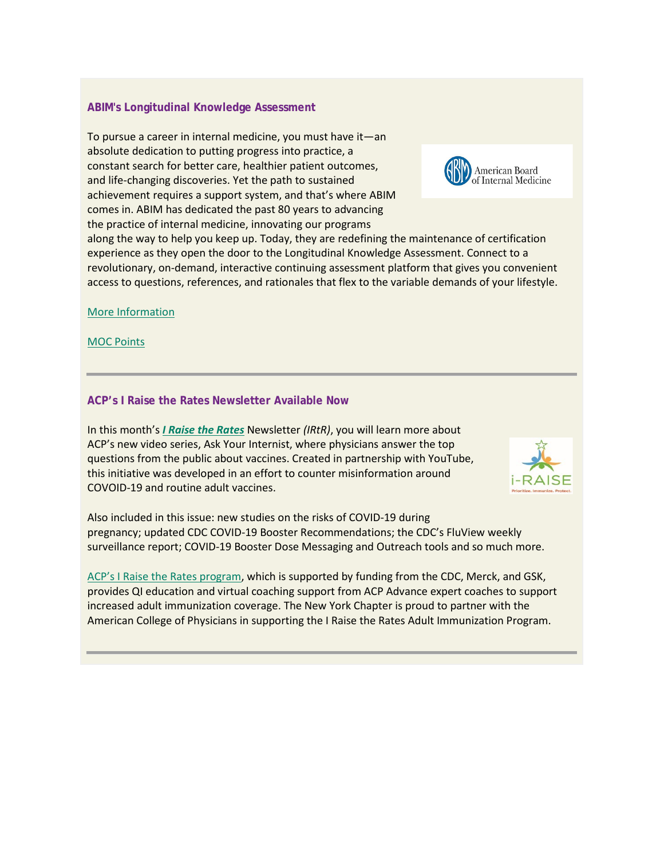# **ABIM's Longitudinal Knowledge Assessment**

To pursue a career in internal medicine, you must have it—an absolute dedication to putting progress into practice, a constant search for better care, healthier patient outcomes, and life-changing discoveries. Yet the path to sustained achievement requires a support system, and that's where ABIM comes in. ABIM has dedicated the past 80 years to advancing the practice of internal medicine, innovating our programs



along the way to help you keep up. Today, they are redefining the maintenance of certification experience as they open the door to the Longitudinal Knowledge Assessment. Connect to a revolutionary, on-demand, interactive continuing assessment platform that gives you convenient access to questions, references, and rationales that flex to the variable demands of your lifestyle.

[More Informatio](https://votervoice.s3.amazonaws.com/groups/nyacp/attachments/longitudinal-infographic.pdf)[n](https://votervoice.s3.amazonaws.com/groups/nyacp/attachments/lka-moc-points.pdf)

[MOC Points](https://votervoice.s3.amazonaws.com/groups/nyacp/attachments/lka-moc-points.pdf)

## **ACP's I Raise the Rates Newsletter Available Now**

In this month's *[I Raise the Rates](https://myemail.constantcontact.com/I-Raise-the-Rates----November-Edition.html?soid=1124874283215&aid=ix3L4tc2CL8)* Newsletter *(IRtR)*, you will learn more about ACP's new video series, Ask Your Internist, where physicians answer the top questions from the public about vaccines. Created in partnership with YouTube, this initiative was developed in an effort to counter misinformation around COVOID-19 and routine adult vaccines.



Also included in this issue: new studies on the risks of COVID-19 during pregnancy; updated CDC COVID-19 Booster Recommendations; the CDC's FluView weekly surveillance report; COVID-19 Booster Dose Messaging and Outreach tools and so much more.

[ACP's I Raise the Rates program,](https://www.acponline.org/clinical-information/clinical-resources-products/adult-immunization) which is supported by funding from the CDC, Merck, and GSK, provides QI education and virtual coaching support from ACP Advance expert coaches to support increased adult immunization coverage. The New York Chapter is proud to partner with the American College of Physicians in supporting the I Raise the Rates Adult Immunization Program.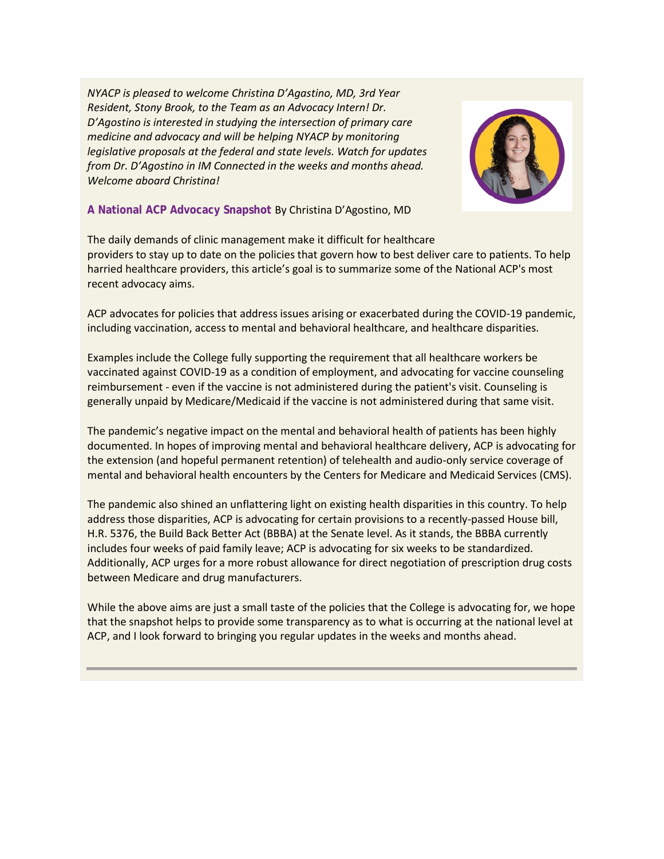*NYACP is pleased to welcome Christina D'Agastino, MD, 3rd Year Resident, Stony Brook, to the Team as an Advocacy Intern! Dr. D'Agostino is interested in studying the intersection of primary care medicine and advocacy and will be helping NYACP by monitoring legislative proposals at the federal and state levels. Watch for updates from Dr. D'Agostino in IM Connected in the weeks and months ahead. Welcome aboard Christina!*



## **A National ACP Advocacy Snapshot** By Christina D'Agostino, MD

The daily demands of clinic management make it difficult for healthcare providers to stay up to date on the policies that govern how to best deliver care to patients. To help harried healthcare providers, this article's goal is to summarize some of the National ACP's most recent advocacy aims.

ACP advocates for policies that address issues arising or exacerbated during the COVID-19 pandemic, including vaccination, access to mental and behavioral healthcare, and healthcare disparities.

Examples include the College fully supporting the requirement that all healthcare workers be vaccinated against COVID-19 as a condition of employment, and advocating for vaccine counseling reimbursement - even if the vaccine is not administered during the patient's visit. Counseling is generally unpaid by Medicare/Medicaid if the vaccine is not administered during that same visit.

The pandemic's negative impact on the mental and behavioral health of patients has been highly documented. In hopes of improving mental and behavioral healthcare delivery, ACP is advocating for the extension (and hopeful permanent retention) of telehealth and audio-only service coverage of mental and behavioral health encounters by the Centers for Medicare and Medicaid Services (CMS).

The pandemic also shined an unflattering light on existing health disparities in this country. To help address those disparities, ACP is advocating for certain provisions to a recently-passed House bill, H.R. 5376, the Build Back Better Act (BBBA) at the Senate level. As it stands, the BBBA currently includes four weeks of paid family leave; ACP is advocating for six weeks to be standardized. Additionally, ACP urges for a more robust allowance for direct negotiation of prescription drug costs between Medicare and drug manufacturers.

While the above aims are just a small taste of the policies that the College is advocating for, we hope that the snapshot helps to provide some transparency as to what is occurring at the national level at ACP, and I look forward to bringing you regular updates in the weeks and months ahead.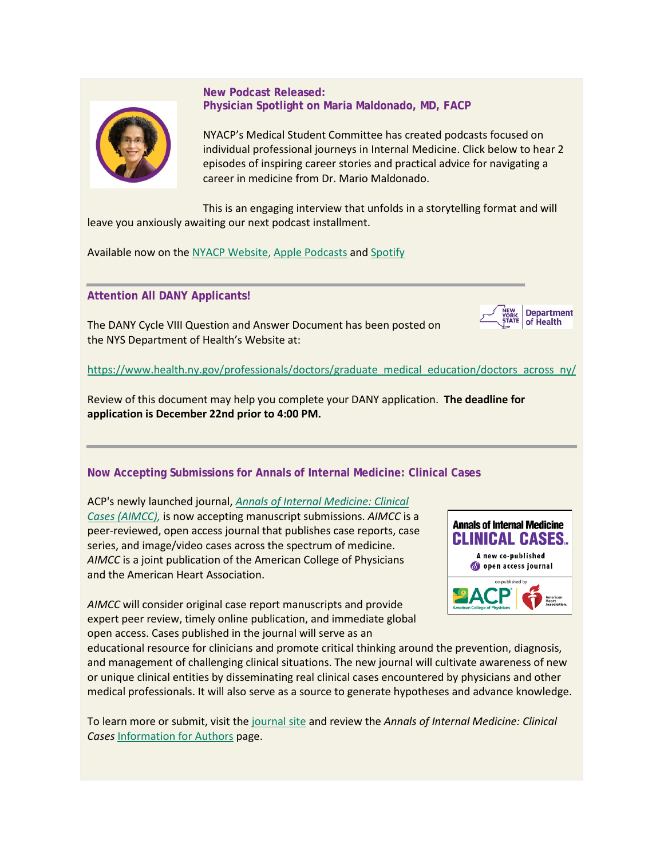

# **New Podcast Released: Physician Spotlight on Maria Maldonado, MD, FACP**

NYACP's Medical Student Committee has created podcasts focused on individual professional journeys in Internal Medicine. Click below to hear 2 episodes of inspiring career stories and practical advice for navigating a career in medicine from Dr. Mario Maldonado.

This is an engaging interview that unfolds in a storytelling format and will leave you anxiously awaiting our next podcast installment.

Available now on the [NYACP Website,](http://www.nyacp.org/podcast) [Apple Podcasts](https://podcasts.apple.com/us/podcast/nyacps-physician-spotlight/id1571770191) and [Spotify](https://open.spotify.com/show/1oq2evQUw5gu7tqadI5Fmz?si=29bb574ff7cf4dc7)

**Attention All DANY Applicants!**

The DANY Cycle VIII Question and Answer Document has been posted on the NYS Department of Health's Website at:



[https://www.health.ny.gov/professionals/doctors/graduate\\_medical\\_education/doctors\\_across\\_ny/](https://gcc02.safelinks.protection.outlook.com/?url=https%3A%2F%2Fwww.health.ny.gov%2Fprofessionals%2Fdoctors%2Fgraduate_medical_education%2Fdoctors_across_ny%2F&data=04%7C01%7CDANY2018%40health.ny.gov%7C285709e070b0404acc5108d9b8c4fbed%7Cf46cb8ea79004d108ceb80e8c1c81ee7%7C0%7C0%7C637743978436212241%7CUnknown%7CTWFpbGZsb3d8eyJWIjoiMC4wLjAwMDAiLCJQIjoiV2luMzIiLCJBTiI6Ik1haWwiLCJXVCI6Mn0%3D%7C3000&sdata=XP%2FGmzmJsvE7EeYyODbDBzfX4niC2iPUv%2FeqUy3inpQ%3D&reserved=0)

Review of this document may help you complete your DANY application. **The deadline for application is December 22nd prior to 4:00 PM.** 

# **Now Accepting Submissions for Annals of Internal Medicine: Clinical Cases**

ACP's newly launched journal, *[Annals of Internal Medicine: Clinical](http://app.learn.acpprograms.org/e/er?utm_campaign=FY21-22_MD_JOURNALS_EML_AIMCC-CFP_MD1025-%2520All%2520mem%2520and%2520nonmem-withButton&utm_medium=email&utm_source=Eloqua&s=698935272&lid=8362&elqTrackId=7c403d3c760a4e2398ab024563b0d710&elq=918b9116282946a5bafd1b5063228752&elqaid=8731&elqat=1)  [Cases \(AIMCC\),](http://app.learn.acpprograms.org/e/er?utm_campaign=FY21-22_MD_JOURNALS_EML_AIMCC-CFP_MD1025-%2520All%2520mem%2520and%2520nonmem-withButton&utm_medium=email&utm_source=Eloqua&s=698935272&lid=8362&elqTrackId=7c403d3c760a4e2398ab024563b0d710&elq=918b9116282946a5bafd1b5063228752&elqaid=8731&elqat=1)* is now accepting manuscript submissions. *AIMCC* is a peer-reviewed, open access journal that publishes case reports, case series, and image/video cases across the spectrum of medicine. *AIMCC* is a joint publication of the American College of Physicians and the American Heart Association.

*AIMCC* will consider original case report manuscripts and provide expert peer review, timely online publication, and immediate global open access. Cases published in the journal will serve as an



educational resource for clinicians and promote critical thinking around the prevention, diagnosis, and management of challenging clinical situations. The new journal will cultivate awareness of new or unique clinical entities by disseminating real clinical cases encountered by physicians and other medical professionals. It will also serve as a source to generate hypotheses and advance knowledge.

To learn more or submit, visit the [journal site](http://app.learn.acpprograms.org/e/er?utm_campaign=FY21-22_MD_JOURNALS_EML_AIMCC-CFP_MD1025-%2520All%2520mem%2520and%2520nonmem-withButton&utm_medium=email&utm_source=Eloqua&s=698935272&lid=8362&elqTrackId=b3897cded44b4796a2f1a7380cf2ebe1&elq=918b9116282946a5bafd1b5063228752&elqaid=8731&elqat=1) and review the *Annals of Internal Medicine: Clinical Cases* [Information for Authors](http://app.learn.acpprograms.org/e/er?utm_campaign=FY21-22_MD_JOURNALS_EML_AIMCC-CFP_MD1025-%2520All%2520mem%2520and%2520nonmem-withButton&utm_medium=email&utm_source=Eloqua&s=698935272&lid=9343&elqTrackId=4588894e232a4b328676970adc1a4861&elq=918b9116282946a5bafd1b5063228752&elqaid=8731&elqat=1) page.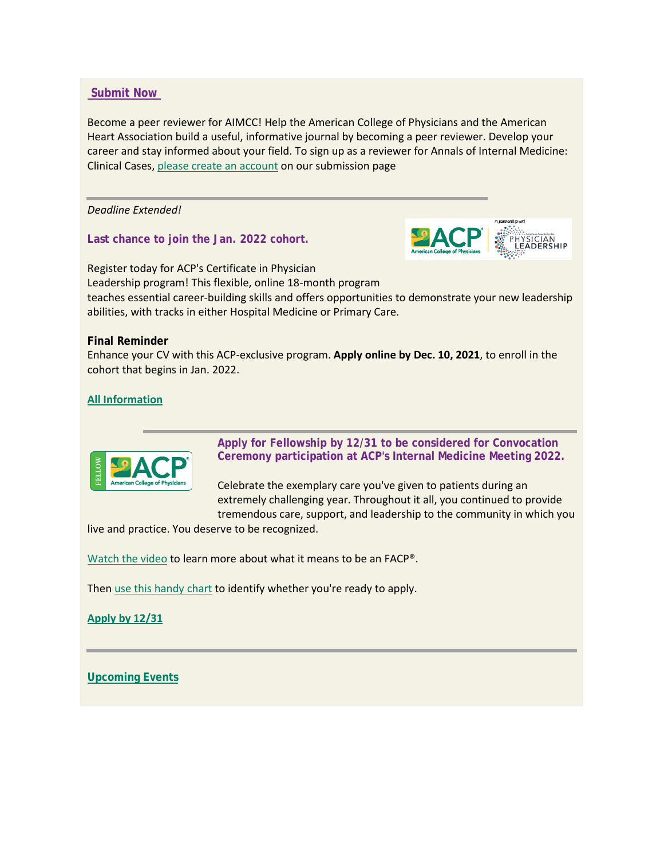## **[Submit Now](https://www.acpjournals.org/journal/aimcc/authors?utm_campaign=FY21-22_MD_JOURNALS_EML_AIMCC-CFP_MD1025-%20All%20mem%20and%20nonmem-withButton&utm_medium=email&utm_source=Eloqua)**

Become a peer reviewer for AIMCC! Help the American College of Physicians and the American Heart Association build a useful, informative journal by becoming a peer reviewer. Develop your career and stay informed about your field. To sign up as a reviewer for Annals of Internal Medicine: Clinical Cases, [please create an account](https://aimcc.msubmit.net/cgi-bin/main.plex?form_type=display_smart_reg&j_id=858&ms_id_key=894ftdjIm4PCcWeckQeYxYgvUdTA&utm_campaign=FY21-22_MD_JOURNALS_EML_AIMCC-CFP_MD1025-%20All%20mem%20and%20nonmem-withButton&utm_medium=email&utm_source=Eloqua) on our submission page

*Deadline Extended!*

**Last chance to join the Jan. 2022 cohort.**



Register today for ACP's Certificate in Physician Leadership program! This flexible, online 18-month program teaches essential career-building skills and offers opportunities to demonstrate your new leadership abilities, with tracks in either Hospital Medicine or Primary Care.

### **Final Reminder**

Enhance your CV with this ACP-exclusive program. **Apply online by Dec. 10, 2021**, to enroll in the cohort that begins in Jan. 2022.

# **[All Information](https://www.acponline.org/meetings-courses/acp-courses-recordings/acp-leadership-academy/certificate-in-physician-leadership-program?utm_campaign=FY21-22_MD_Membership_EML_Leadership%20Academy%20Fall%20Campaign_MD1122-3&utm_medium=email&utm_source=Eloqua)**



**Apply for Fellowship by 12/31 to be considered for Convocation Ceremony participation at ACP's Internal Medicine Meeting 2022.**

Celebrate the exemplary care you've given to patients during an extremely challenging year. Throughout it all, you continued to provide tremendous care, support, and leadership to the community in which you

live and practice. You deserve to be recognized.

[Watch the video](http://app.learn.acpprograms.org/e/er?utm_campaign=FY21-22_MD_Membership_EML_Fall%20Fellowship%20Acquisition_MD1008-F&utm_medium=email&utm_source=Eloqua&s=698935272&lid=9137&elqTrackId=D1399DEB32583149879C09F7A348C8F5&elq=7c89500ff0484dfcaa934ab3e3a2f248&elqaid=8515&elqat=1) to learn more about what it means to be an FACP®.

The[n use this handy chart](http://app.learn.acpprograms.org/e/er?utm_campaign=FY21-22_MD_Membership_EML_Fall%20Fellowship%20Acquisition_MD1008-F&utm_medium=email&utm_source=Eloqua&s=698935272&lid=9140&elqTrackId=1D7F5F9FF4E4C63138CD6589E8FFF558&elq=7c89500ff0484dfcaa934ab3e3a2f248&elqaid=8515&elqat=1) to identify whether you're ready to apply.

**[Apply by 12/31](https://forms.acponline.org/webform/advancement-fellowship)**

**[Upcoming Events](https://www.nyacp.org/i4a/pages/index.cfm?pageid=3535)**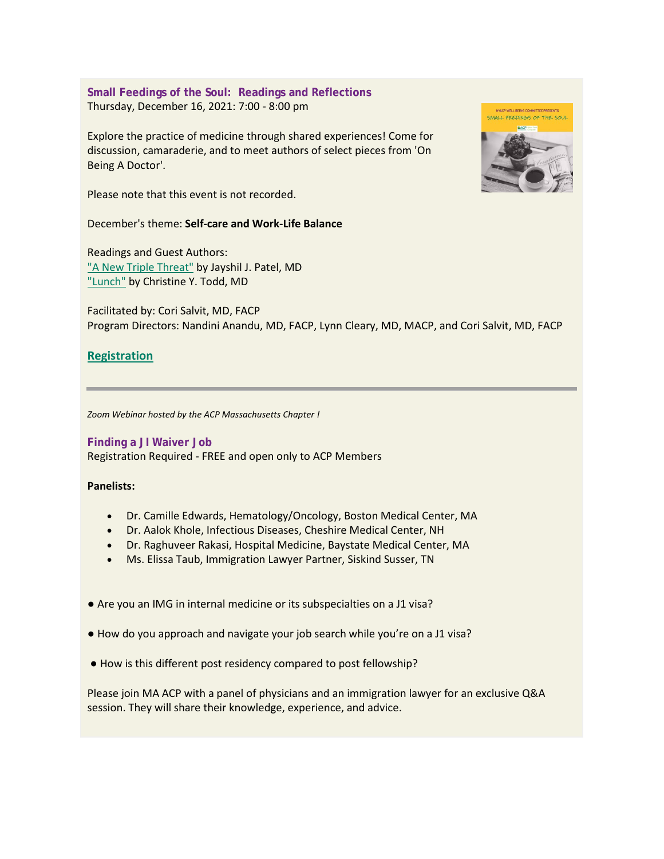**Small Feedings of the Soul: Readings and Reflections** Thursday, December 16, 2021: 7:00 - 8:00 pm

Explore the practice of medicine through shared experiences! Come for discussion, camaraderie, and to meet authors of select pieces from 'On Being A Doctor'.

Please note that this event is not recorded.

December's theme: **Self-care and Work-Life Balance**

Readings and Guest Authors: ["A New Triple Threat"](https://www.acpjournals.org/doi/10.7326/M21-1042) by Jayshil J. Patel, MD ["Lunch"](https://www.acpjournals.org/doi/10.7326/M18-2609) by Christine Y. Todd, MD

Facilitated by: Cori Salvit, MD, FACP Program Directors: Nandini Anandu, MD, FACP, Lynn Cleary, MD, MACP, and Cori Salvit, MD, FACP

# **[Registration](https://us02web.zoom.us/meeting/register/tZUsf-Cvqz8vG933xvZqDozdnH0yfDzFbmGP)**

*Zoom Webinar hosted by the ACP Massachusetts Chapter !*

**Finding a JI Waiver Job** Registration Required - FREE and open only to ACP Members

## **Panelists:**

- Dr. Camille Edwards, Hematology/Oncology, Boston Medical Center, MA
- Dr. Aalok Khole, Infectious Diseases, Cheshire Medical Center, NH
- Dr. Raghuveer Rakasi, Hospital Medicine, Baystate Medical Center, MA
- Ms. Elissa Taub, Immigration Lawyer Partner, Siskind Susser, TN
- Are you an IMG in internal medicine or its subspecialties on a J1 visa?
- How do you approach and navigate your job search while you're on a J1 visa?
- How is this different post residency compared to post fellowship?

Please join MA ACP with a panel of physicians and an immigration lawyer for an exclusive Q&A session. They will share their knowledge, experience, and advice.